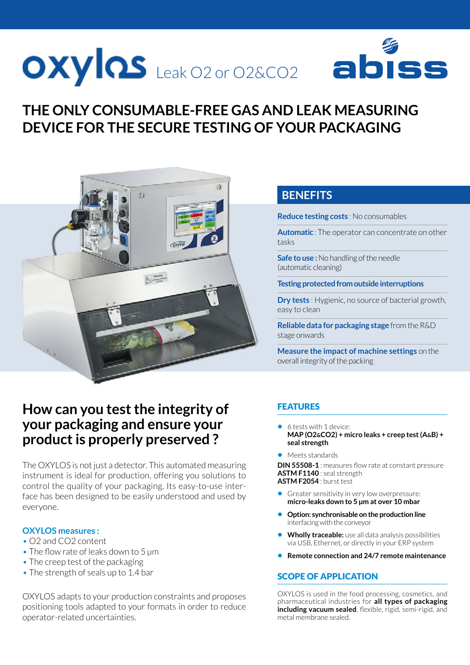## OXYIQS Leak O2 or O2&CO2 ab

## **THE ONLY CONSUMABLE-FREE GAS AND LEAK MEASURING DEVICE FOR THE SECURE TESTING OF YOUR PACKAGING**



## **How can you test the integrity of your packaging and ensure your product is properly preserved ?**

The OXYLOS is not just a detector. This automated measuring instrument is ideal for production, offering you solutions to control the quality of your packaging. Its easy-to-use interface has been designed to be easily understood and used by everyone.

#### **OXYLOS measures :**

- O2 and CO2 content
- The flow rate of leaks down to 5 um
- The creep test of the packaging
- The strength of seals up to 1.4 bar

OXYLOS adapts to your production constraints and proposes positioning tools adapted to your formats in order to reduce operator-related uncertainties.

### **BENEFITS**

**Reduce testing costs** : No consumables

**Automatic** : The operator can concentrate on other tasks

**Safe to use :** No handling of the needle (automatic cleaning)

**Testing protected from outside interruptions**

**Dry tests** : Hygienic, no source of bacterial growth, easy to clean

**Reliable data for packaging stage** from the R&D stage onwards

**Measure the impact of machine settings** on the overall integrity of the packing

#### FEATURES

- **•** 6 tests with 1 device: **MAP (O2&CO2) + micro leaks + creep test (A&B) + seal strength**
- **•** Meets standards

**DIN 55508-1** : measures flow rate at constant pressure **ASTM F1140** : seal strength **ASTM F2054** : burst test

- **•** Greater sensitivity in very low overpressure: **micro-leaks down to 5 μm at over 10 mbar**
- **• Option: synchronisable on the production line**  interfacing with the conveyor
- **• Wholly traceable:** use all data analysis possibilities via USB, Ethernet, or directly in your ERP system
- **• Remote connection and 24/7 remote maintenance**

#### SCOPE OF APPLICATION

OXYLOS is used in the food processing, cosmetics, and pharmaceutical industries for **all types of packaging including vacuum sealed**, flexible, rigid, semi-rigid, and metal membrane sealed.